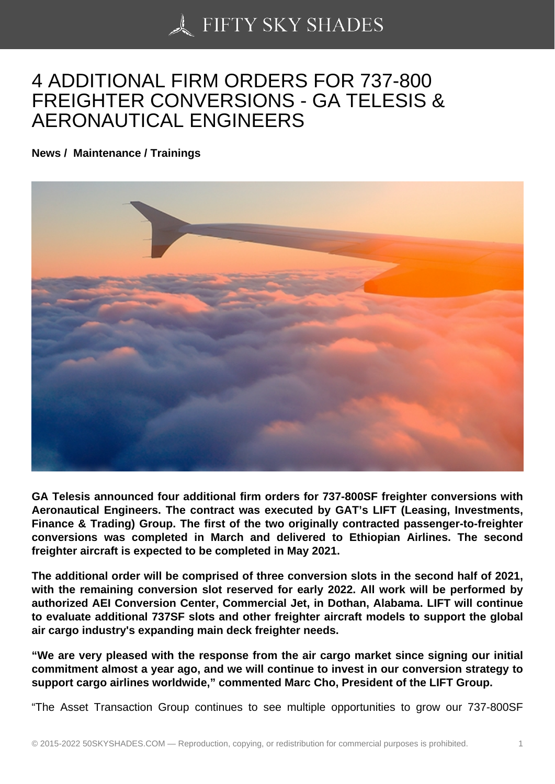## [4 ADDITIONAL FIRM O](https://50skyshades.com)RDERS FOR 737-800 FREIGHTER CONVERSIONS - GA TELESIS & AERONAUTICAL ENGINEERS

News / Maintenance / Trainings

GA Telesis announced four additional firm orders for 737-800SF freighter conversions with Aeronautical Engineers. The contract was executed by GAT's LIFT (Leasing, Investments, Finance & Trading) Group. The first of the two originally contracted passenger-to-freighter conversions was completed in March and delivered to Ethiopian Airlines. The second freighter aircraft is expected to be completed in May 2021.

The additional order will be comprised of three conversion slots in the second half of 2021, with the remaining conversion slot reserved for early 2022. All work will be performed by authorized AEI Conversion Center, Commercial Jet, in Dothan, Alabama. LIFT will continue to evaluate additional 737SF slots and other freighter aircraft models to support the global air cargo industry's expanding main deck freighter needs.

"We are very pleased with the response from the air cargo market since signing our initial commitment almost a year ago, and we will continue to invest in our conversion strategy to support cargo airlines worldwide," commented Marc Cho, President of the LIFT Group.

"The Asset Transaction Group continues to see multiple opportunities to grow our 737-800SF